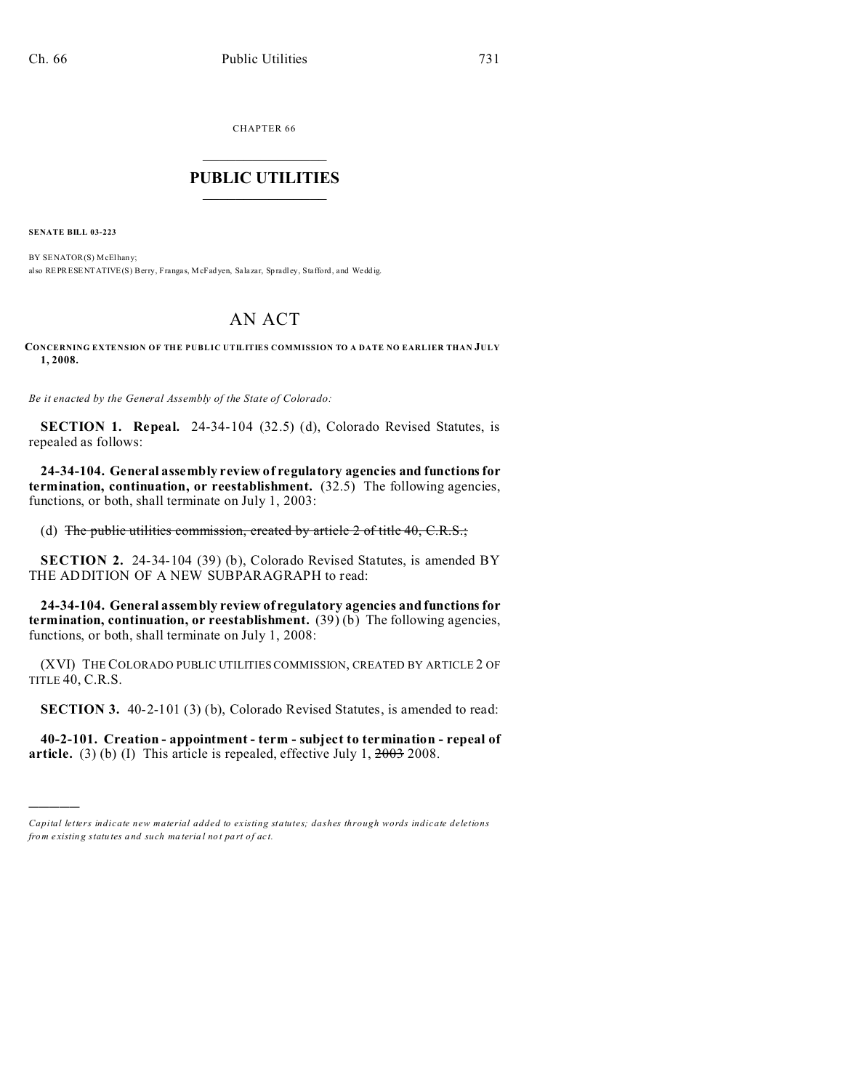CHAPTER 66  $\overline{\phantom{a}}$  , where  $\overline{\phantom{a}}$ 

## **PUBLIC UTILITIES**  $\frac{1}{\sqrt{2}}$  ,  $\frac{1}{\sqrt{2}}$  ,  $\frac{1}{\sqrt{2}}$  ,  $\frac{1}{\sqrt{2}}$  ,  $\frac{1}{\sqrt{2}}$  ,  $\frac{1}{\sqrt{2}}$

**SENATE BILL 03-223**

)))))

BY SENATOR(S) McElhany; also REPRESENTATIVE(S) Berry, Frangas, McFadyen, Salazar, Spradley, Stafford, and Weddig.

## AN ACT

**CONCERNING EXTENSION OF THE PUBLIC UTILITIES COMMISSION TO A DATE NO EARLIER THAN JULY 1, 2008.**

*Be it enacted by the General Assembly of the State of Colorado:*

**SECTION 1. Repeal.** 24-34-104 (32.5) (d), Colorado Revised Statutes, is repealed as follows:

**24-34-104. General assembly review of regulatory agencies and functions for termination, continuation, or reestablishment.** (32.5) The following agencies, functions, or both, shall terminate on July 1, 2003:

(d) The public utilities commission, created by article  $2$  of title  $40, C.R.S.;$ 

**SECTION 2.** 24-34-104 (39) (b), Colorado Revised Statutes, is amended BY THE ADDITION OF A NEW SUBPARAGRAPH to read:

**24-34-104. General assembly review of regulatory agencies and functions for termination, continuation, or reestablishment.** (39) (b) The following agencies, functions, or both, shall terminate on July 1, 2008:

(XVI) THE COLORADO PUBLIC UTILITIES COMMISSION, CREATED BY ARTICLE 2 OF TITLE 40, C.R.S.

**SECTION 3.** 40-2-101 (3) (b), Colorado Revised Statutes, is amended to read:

**40-2-101. Creation - appointment - term - subject to termination - repeal of article.** (3) (b) (I) This article is repealed, effective July 1,  $\frac{2003}{2008}$ .

*Capital letters indicate new material added to existing statutes; dashes through words indicate deletions from e xistin g statu tes a nd such ma teria l no t pa rt of ac t.*